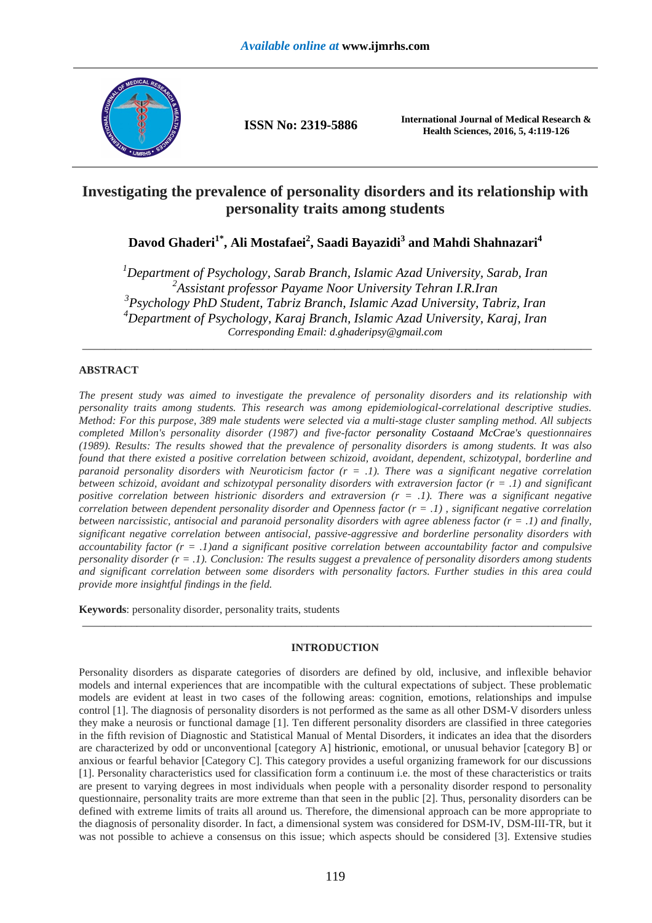

**ISSN No: 2319-5886 International Journal of Medical Research & Health Sciences, 2016, 5, 4:119-126**

# **Investigating the prevalence of personality disorders and its relationship with personality traits among students**

**Davod Ghaderi1\*, Ali Mostafaei<sup>2</sup> , Saadi Bayazidi<sup>3</sup> and Mahdi Shahnazari<sup>4</sup>**

*Department of Psychology, Sarab Branch, Islamic Azad University, Sarab, Iran Assistant professor Payame Noor University Tehran I.R.Iran Psychology PhD Student, Tabriz Branch, Islamic Azad University, Tabriz, Iran Department of Psychology, Karaj Branch, Islamic Azad University, Karaj, Iran Corresponding Email: d.ghaderipsy@gmail.com* 

\_\_\_\_\_\_\_\_\_\_\_\_\_\_\_\_\_\_\_\_\_\_\_\_\_\_\_\_\_\_\_\_\_\_\_\_\_\_\_\_\_\_\_\_\_\_\_\_\_\_\_\_\_\_\_\_\_\_\_\_\_\_\_\_\_\_\_\_\_\_\_\_\_\_\_\_\_\_\_\_\_\_\_\_\_\_\_\_\_\_\_\_\_

## **ABSTRACT**

*The present study was aimed to investigate the prevalence of personality disorders and its relationship with personality traits among students. This research was among epidemiological-correlational descriptive studies. Method: For this purpose, 389 male students were selected via a multi-stage cluster sampling method. All subjects completed Millon's personality disorder (1987) and five-factor personality Costaand McCrae's questionnaires (1989). Results: The results showed that the prevalence of personality disorders is among students. It was also found that there existed a positive correlation between schizoid, avoidant, dependent, schizotypal, borderline and paranoid personality disorders with Neuroticism factor (r = .1). There was a significant negative correlation between schizoid, avoidant and schizotypal personality disorders with extraversion factor (r = .1) and significant positive correlation between histrionic disorders and extraversion*  $(r = .1)$ *. There was a significant negative correlation between dependent personality disorder and Openness factor (r = .1) , significant negative correlation between narcissistic, antisocial and paranoid personality disorders with agree ableness factor (r = .1) and finally, significant negative correlation between antisocial, passive-aggressive and borderline personality disorders with accountability factor (r = .1)and a significant positive correlation between accountability factor and compulsive personality disorder (r = .1). Conclusion: The results suggest a prevalence of personality disorders among students and significant correlation between some disorders with personality factors. Further studies in this area could provide more insightful findings in the field.* 

**Keywords**: personality disorder, personality traits, students

## **INTRODUCTION**

\_\_\_\_\_\_\_\_\_\_\_\_\_\_\_\_\_\_\_\_\_\_\_\_\_\_\_\_\_\_\_\_\_\_\_\_\_\_\_\_\_\_\_\_\_\_\_\_\_\_\_\_\_\_\_\_\_\_\_\_\_\_\_\_\_\_\_\_\_\_\_\_\_\_\_\_\_\_\_\_\_\_\_\_\_\_\_\_\_\_\_\_\_

Personality disorders as disparate categories of disorders are defined by old, inclusive, and inflexible behavior models and internal experiences that are incompatible with the cultural expectations of subject. These problematic models are evident at least in two cases of the following areas: cognition, emotions, relationships and impulse control [1]. The diagnosis of personality disorders is not performed as the same as all other DSM-V disorders unless they make a neurosis or functional damage [1]. Ten different personality disorders are classified in three categories in the fifth revision of Diagnostic and Statistical Manual of Mental Disorders, it indicates an idea that the disorders are characterized by odd or unconventional [category A] histrionic, emotional, or unusual behavior [category B] or anxious or fearful behavior [Category C]. This category provides a useful organizing framework for our discussions [1]. Personality characteristics used for classification form a continuum i.e. the most of these characteristics or traits are present to varying degrees in most individuals when people with a personality disorder respond to personality questionnaire, personality traits are more extreme than that seen in the public [2]. Thus, personality disorders can be defined with extreme limits of traits all around us. Therefore, the dimensional approach can be more appropriate to the diagnosis of personality disorder. In fact, a dimensional system was considered for DSM-IV, DSM-III-TR, but it was not possible to achieve a consensus on this issue; which aspects should be considered [3]. Extensive studies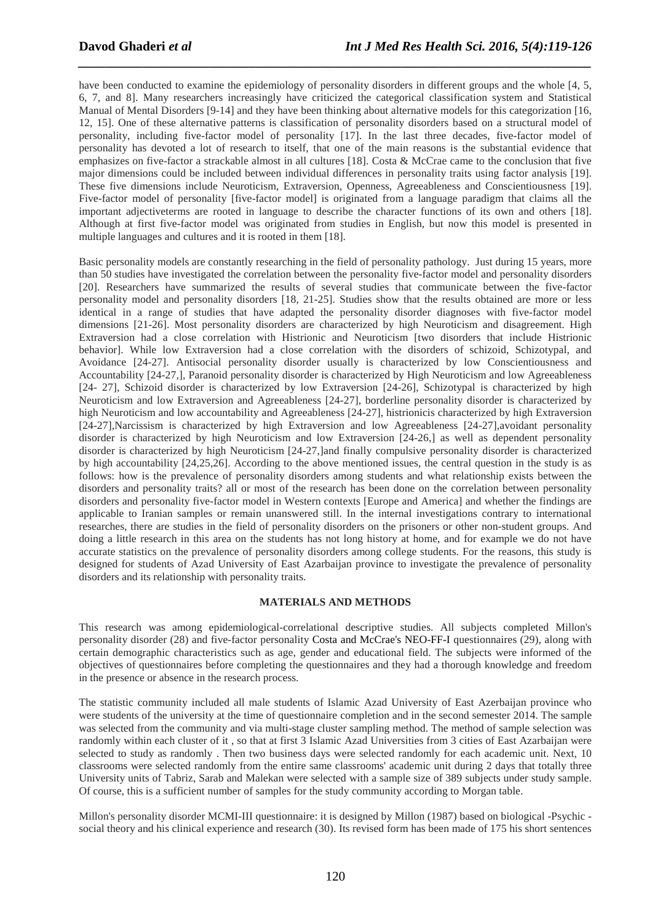have been conducted to examine the epidemiology of personality disorders in different groups and the whole [4, 5, 6, 7, and 8]. Many researchers increasingly have criticized the categorical classification system and Statistical Manual of Mental Disorders [9-14] and they have been thinking about alternative models for this categorization [16, 12, 15]. One of these alternative patterns is classification of personality disorders based on a structural model of personality, including five-factor model of personality [17]. In the last three decades, five-factor model of personality has devoted a lot of research to itself, that one of the main reasons is the substantial evidence that emphasizes on five-factor a strackable almost in all cultures [18]. Costa & McCrae came to the conclusion that five major dimensions could be included between individual differences in personality traits using factor analysis [19]. These five dimensions include Neuroticism, Extraversion, Openness, Agreeableness and Conscientiousness [19]. Five-factor model of personality [five-factor model] is originated from a language paradigm that claims all the important adjectiveterms are rooted in language to describe the character functions of its own and others [18]. Although at first five-factor model was originated from studies in English, but now this model is presented in multiple languages and cultures and it is rooted in them [18].

*\_\_\_\_\_\_\_\_\_\_\_\_\_\_\_\_\_\_\_\_\_\_\_\_\_\_\_\_\_\_\_\_\_\_\_\_\_\_\_\_\_\_\_\_\_\_\_\_\_\_\_\_\_\_\_\_\_\_\_\_\_\_\_\_\_\_\_\_\_\_\_\_\_\_\_\_\_\_*

Basic personality models are constantly researching in the field of personality pathology. Just during 15 years, more than 50 studies have investigated the correlation between the personality five-factor model and personality disorders [20]. Researchers have summarized the results of several studies that communicate between the five-factor personality model and personality disorders [18, 21-25]. Studies show that the results obtained are more or less identical in a range of studies that have adapted the personality disorder diagnoses with five-factor model dimensions [21-26]. Most personality disorders are characterized by high Neuroticism and disagreement. High Extraversion had a close correlation with Histrionic and Neuroticism [two disorders that include Histrionic behavior]. While low Extraversion had a close correlation with the disorders of schizoid, Schizotypal, and Avoidance [24-27]. Antisocial personality disorder usually is characterized by low Conscientiousness and Accountability [24-27,], Paranoid personality disorder is characterized by High Neuroticism and low Agreeableness [24- 27], Schizoid disorder is characterized by low Extraversion [24-26], Schizotypal is characterized by high Neuroticism and low Extraversion and Agreeableness [24-27], borderline personality disorder is characterized by high Neuroticism and low accountability and Agreeableness [24-27], histrionicis characterized by high Extraversion [24-27],Narcissism is characterized by high Extraversion and low Agreeableness [24-27],avoidant personality disorder is characterized by high Neuroticism and low Extraversion [24-26,] as well as dependent personality disorder is characterized by high Neuroticism [24-27,]and finally compulsive personality disorder is characterized by high accountability [24,25,26]. According to the above mentioned issues, the central question in the study is as follows: how is the prevalence of personality disorders among students and what relationship exists between the disorders and personality traits? all or most of the research has been done on the correlation between personality disorders and personality five-factor model in Western contexts [Europe and America] and whether the findings are applicable to Iranian samples or remain unanswered still. In the internal investigations contrary to international researches, there are studies in the field of personality disorders on the prisoners or other non-student groups. And doing a little research in this area on the students has not long history at home, and for example we do not have accurate statistics on the prevalence of personality disorders among college students. For the reasons, this study is designed for students of Azad University of East Azarbaijan province to investigate the prevalence of personality disorders and its relationship with personality traits.

### **MATERIALS AND METHODS**

This research was among epidemiological-correlational descriptive studies. All subjects completed Millon's personality disorder (28) and five-factor personality Costa and McCrae's NEO-FF-I questionnaires (29), along with certain demographic characteristics such as age, gender and educational field. The subjects were informed of the objectives of questionnaires before completing the questionnaires and they had a thorough knowledge and freedom in the presence or absence in the research process.

The statistic community included all male students of Islamic Azad University of East Azerbaijan province who were students of the university at the time of questionnaire completion and in the second semester 2014. The sample was selected from the community and via multi-stage cluster sampling method. The method of sample selection was randomly within each cluster of it , so that at first 3 Islamic Azad Universities from 3 cities of East Azarbaijan were selected to study as randomly . Then two business days were selected randomly for each academic unit. Next, 10 classrooms were selected randomly from the entire same classrooms' academic unit during 2 days that totally three University units of Tabriz, Sarab and Malekan were selected with a sample size of 389 subjects under study sample. Of course, this is a sufficient number of samples for the study community according to Morgan table.

Millon's personality disorder MCMI-III questionnaire: it is designed by Millon (1987) based on biological -Psychic social theory and his clinical experience and research (30). Its revised form has been made of 175 his short sentences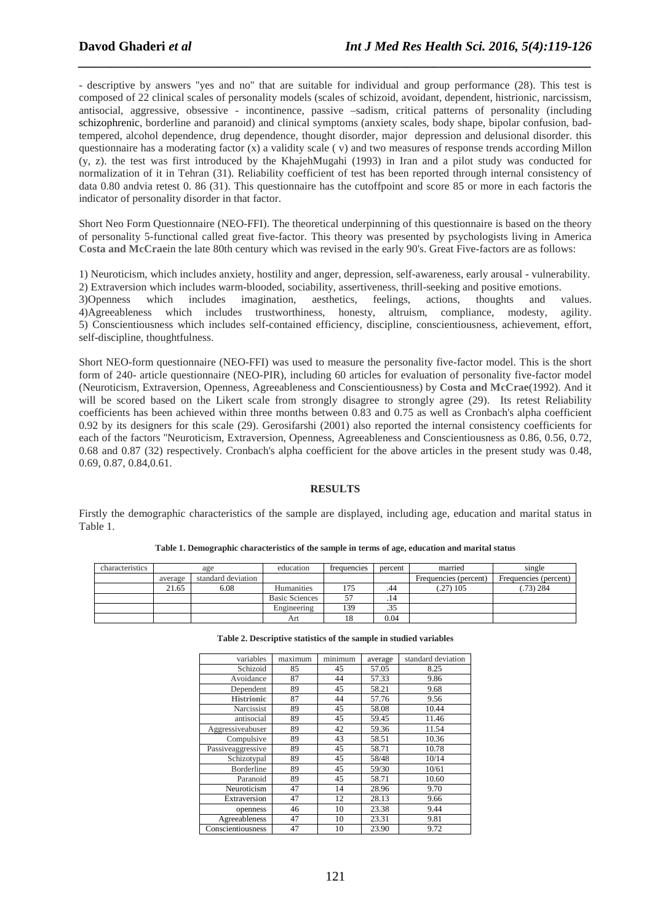- descriptive by answers ''yes and no'' that are suitable for individual and group performance (28). This test is composed of 22 clinical scales of personality models (scales of schizoid, avoidant, dependent, histrionic, narcissism, antisocial, aggressive, obsessive - incontinence, passive –sadism, critical patterns of personality (including schizophrenic, borderline and paranoid) and clinical symptoms (anxiety scales, body shape, bipolar confusion, badtempered, alcohol dependence, drug dependence, thought disorder, major depression and delusional disorder. this questionnaire has a moderating factor  $(x)$  a validity scale  $(y)$  and two measures of response trends according Millon (y, z). the test was first introduced by the KhajehMugahi (1993) in Iran and a pilot study was conducted for normalization of it in Tehran (31). Reliability coefficient of test has been reported through internal consistency of data 0.80 andvia retest 0. 86 (31). This questionnaire has the cutoffpoint and score 85 or more in each factoris the indicator of personality disorder in that factor.

*\_\_\_\_\_\_\_\_\_\_\_\_\_\_\_\_\_\_\_\_\_\_\_\_\_\_\_\_\_\_\_\_\_\_\_\_\_\_\_\_\_\_\_\_\_\_\_\_\_\_\_\_\_\_\_\_\_\_\_\_\_\_\_\_\_\_\_\_\_\_\_\_\_\_\_\_\_\_*

Short Neo Form Questionnaire (NEO-FFI). The theoretical underpinning of this questionnaire is based on the theory of personality 5-functional called great five-factor. This theory was presented by psychologists living in America **Costa and McCrae**in the late 80th century which was revised in the early 90's. Great Five-factors are as follows:

1) Neuroticism, which includes anxiety, hostility and anger, depression, self-awareness, early arousal - vulnerability. 2) Extraversion which includes warm-blooded, sociability, assertiveness, thrill-seeking and positive emotions.

3)Openness which includes imagination, aesthetics, feelings, actions, thoughts and values. 4)Agreeableness which includes trustworthiness, honesty, altruism, compliance, modesty, agility. 5) Conscientiousness which includes self-contained efficiency, discipline, conscientiousness, achievement, effort, self-discipline, thoughtfulness.

Short NEO-form questionnaire (NEO-FFI) was used to measure the personality five-factor model. This is the short form of 240- article questionnaire (NEO-PIR), including 60 articles for evaluation of personality five-factor model (Neuroticism, Extraversion, Openness, Agreeableness and Conscientiousness) by **Costa and McCrae**(1992). And it will be scored based on the Likert scale from strongly disagree to strongly agree (29). Its retest Reliability coefficients has been achieved within three months between 0.83 and 0.75 as well as Cronbach's alpha coefficient 0.92 by its designers for this scale (29). Gerosifarshi (2001) also reported the internal consistency coefficients for each of the factors ''Neuroticism, Extraversion, Openness, Agreeableness and Conscientiousness as 0.86, 0.56, 0.72, 0.68 and 0.87 (32) respectively. Cronbach's alpha coefficient for the above articles in the present study was 0.48, 0.69, 0.87, 0.84,0.61.

### **RESULTS**

Firstly the demographic characteristics of the sample are displayed, including age, education and marital status in Table 1.

| characteristics | age     |                    | education      | trequencies | percent | married               | single                |
|-----------------|---------|--------------------|----------------|-------------|---------|-----------------------|-----------------------|
|                 | average | standard deviation |                |             |         | Frequencies (percent) | Frequencies (percent) |
|                 | 21.65   | 6.08               | Humanities     | 175         | .44     | $(27)$ 105            | $(0.73)$ 284          |
|                 |         |                    | Basic Sciences |             | . 14    |                       |                       |
|                 |         |                    | Engineering    | 139         | .35     |                       |                       |
|                 |         |                    | Art            |             | 0.04    |                       |                       |

**Table 2. Descriptive statistics of the sample in studied variables** 

| variables         | maximum | minimum | average | standard deviation |
|-------------------|---------|---------|---------|--------------------|
| Schizoid          | 85      | 45      | 57.05   | 8.25               |
| Avoidance         | 87      | 44      | 57.33   | 9.86               |
| Dependent         | 89      | 45      | 58.21   | 9.68               |
| <b>Histrionic</b> | 87      | 44      | 57.76   | 9.56               |
| Narcissist        | 89      | 45      | 58.08   | 10.44              |
| antisocial        | 89      | 45      | 59.45   | 11.46              |
| Aggressiveabuser  | 89      | 42      | 59.36   | 11.54              |
| Compulsive        | 89      | 43      | 58.51   | 10.36              |
| Passiveaggressive | 89      | 45      | 58.71   | 10.78              |
| Schizotypal       | 89      | 45      | 58/48   | 10/14              |
| <b>Borderline</b> | 89      | 45      | 59/30   | 10/61              |
| Paranoid          | 89      | 45      | 58.71   | 10.60              |
| Neuroticism       | 47      | 14      | 28.96   | 9.70               |
| Extraversion      | 47      | 12      | 28.13   | 9.66               |
| openness          | 46      | 10      | 23.38   | 9.44               |
| Agreeableness     | 47      | 10      | 23.31   | 9.81               |
| Conscientiousness | 47      | 10      | 23.90   | 9.72               |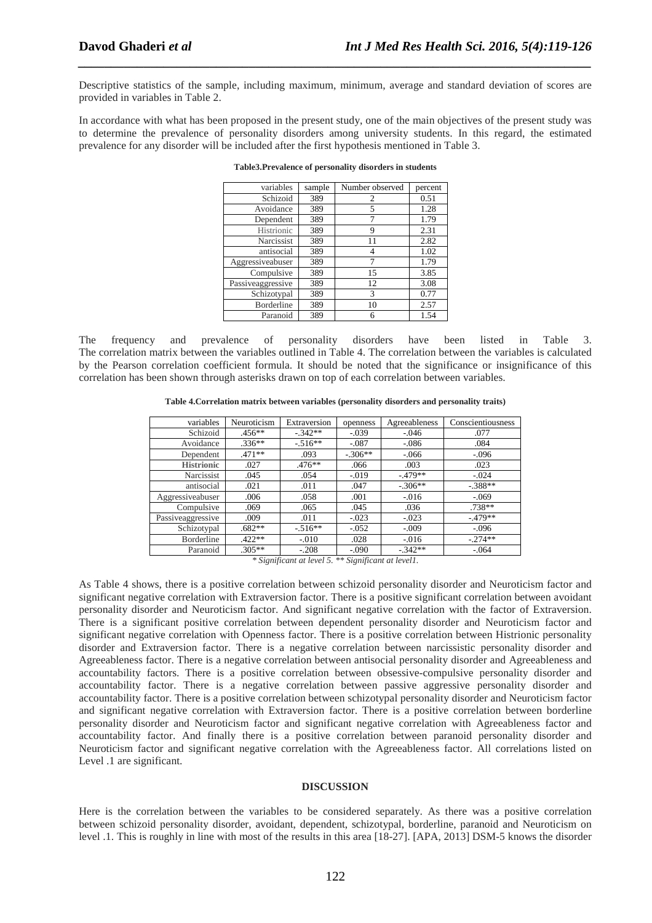Descriptive statistics of the sample, including maximum, minimum, average and standard deviation of scores are provided in variables in Table 2.

*\_\_\_\_\_\_\_\_\_\_\_\_\_\_\_\_\_\_\_\_\_\_\_\_\_\_\_\_\_\_\_\_\_\_\_\_\_\_\_\_\_\_\_\_\_\_\_\_\_\_\_\_\_\_\_\_\_\_\_\_\_\_\_\_\_\_\_\_\_\_\_\_\_\_\_\_\_\_*

In accordance with what has been proposed in the present study, one of the main objectives of the present study was to determine the prevalence of personality disorders among university students. In this regard, the estimated prevalence for any disorder will be included after the first hypothesis mentioned in Table 3.

| variables         | sample | Number observed | percent |
|-------------------|--------|-----------------|---------|
| Schizoid          | 389    | 2               | 0.51    |
| Avoidance         | 389    | 5               | 1.28    |
| Dependent         | 389    |                 | 1.79    |
| Histrionic        | 389    | 9               | 2.31    |
| Narcissist        | 389    | 11              | 2.82    |
| antisocial        | 389    |                 | 1.02    |
| Aggressiveabuser  | 389    |                 | 1.79    |
| Compulsive        | 389    | 15              | 3.85    |
| Passiveaggressive | 389    | 12              | 3.08    |
| Schizotypal       | 389    | 3               | 0.77    |
| <b>Borderline</b> | 389    | 10              | 2.57    |
| Paranoid          | 389    | 6               | 1.54    |

**Table3.Prevalence of personality disorders in students** 

The frequency and prevalence of personality disorders have been listed in Table 3. The correlation matrix between the variables outlined in Table 4. The correlation between the variables is calculated by the Pearson correlation coefficient formula. It should be noted that the significance or insignificance of this correlation has been shown through asterisks drawn on top of each correlation between variables.

| variables         | Neuroticism | Extraversion | openness  | Agreeableness | Conscientiousness |
|-------------------|-------------|--------------|-----------|---------------|-------------------|
| Schizoid          | $.456**$    | $-.342**$    | $-.039$   | $-.046$       | .077              |
| Avoidance         | $.336**$    | $-.516**$    | $-.087$   | $-.086$       | .084              |
| Dependent         | $.471**$    | .093         | $-.306**$ | $-.066$       | $-.096$           |
| <b>Histrionic</b> | .027        | $.476**$     | .066      | .003          | .023              |
| Narcissist        | .045        | .054         | $-.019$   | $-.479**$     | $-.024$           |
| antisocial        | .021        | .011         | .047      | $-.306**$     | $-.388**$         |
| Aggressiveabuser  | .006        | .058         | .001      | $-.016$       | $-.069$           |
| Compulsive        | .069        | .065         | .045      | .036          | .738**            |
| Passiveaggressive | .009        | .011         | $-.023$   | $-.023$       | $-.479**$         |
| Schizotypal       | $.682**$    | $-516**$     | $-.052$   | $-.009$       | $-.096$           |
| Borderline        | $.422**$    | $-.010$      | .028      | $-.016$       | $-.274**$         |
| Paranoid          | $.305**$    | $-.208$      | $-.090$   | $-.342**$     | $-.064$           |

*\* Significant at level 5. \*\* Significant at level1.*

As Table 4 shows, there is a positive correlation between schizoid personality disorder and Neuroticism factor and significant negative correlation with Extraversion factor. There is a positive significant correlation between avoidant personality disorder and Neuroticism factor. And significant negative correlation with the factor of Extraversion. There is a significant positive correlation between dependent personality disorder and Neuroticism factor and significant negative correlation with Openness factor. There is a positive correlation between Histrionic personality disorder and Extraversion factor. There is a negative correlation between narcissistic personality disorder and Agreeableness factor. There is a negative correlation between antisocial personality disorder and Agreeableness and accountability factors. There is a positive correlation between obsessive-compulsive personality disorder and accountability factor. There is a negative correlation between passive aggressive personality disorder and accountability factor. There is a positive correlation between schizotypal personality disorder and Neuroticism factor and significant negative correlation with Extraversion factor. There is a positive correlation between borderline personality disorder and Neuroticism factor and significant negative correlation with Agreeableness factor and accountability factor. And finally there is a positive correlation between paranoid personality disorder and Neuroticism factor and significant negative correlation with the Agreeableness factor. All correlations listed on Level .1 are significant.

### **DISCUSSION**

Here is the correlation between the variables to be considered separately. As there was a positive correlation between schizoid personality disorder, avoidant, dependent, schizotypal, borderline, paranoid and Neuroticism on level .1. This is roughly in line with most of the results in this area [18-27]. [APA, 2013] DSM-5 knows the disorder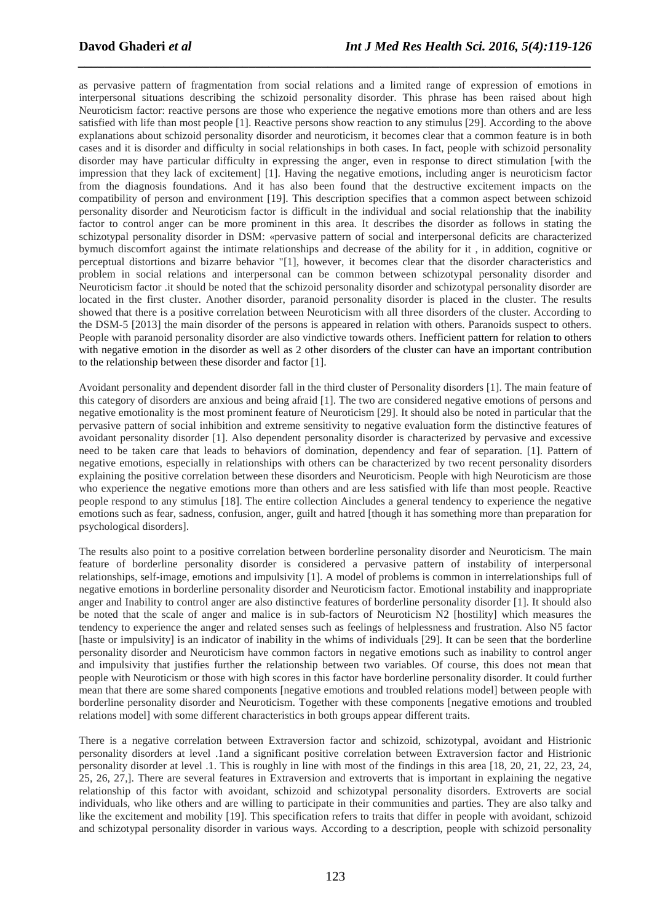as pervasive pattern of fragmentation from social relations and a limited range of expression of emotions in interpersonal situations describing the schizoid personality disorder. This phrase has been raised about high Neuroticism factor: reactive persons are those who experience the negative emotions more than others and are less satisfied with life than most people [1]. Reactive persons show reaction to any stimulus [29]. According to the above explanations about schizoid personality disorder and neuroticism, it becomes clear that a common feature is in both cases and it is disorder and difficulty in social relationships in both cases. In fact, people with schizoid personality disorder may have particular difficulty in expressing the anger, even in response to direct stimulation [with the impression that they lack of excitement] [1]. Having the negative emotions, including anger is neuroticism factor from the diagnosis foundations. And it has also been found that the destructive excitement impacts on the compatibility of person and environment [19]. This description specifies that a common aspect between schizoid personality disorder and Neuroticism factor is difficult in the individual and social relationship that the inability factor to control anger can be more prominent in this area. It describes the disorder as follows in stating the schizotypal personality disorder in DSM: «pervasive pattern of social and interpersonal deficits are characterized bymuch discomfort against the intimate relationships and decrease of the ability for it , in addition, cognitive or perceptual distortions and bizarre behavior "[1], however, it becomes clear that the disorder characteristics and problem in social relations and interpersonal can be common between schizotypal personality disorder and Neuroticism factor .it should be noted that the schizoid personality disorder and schizotypal personality disorder are located in the first cluster. Another disorder, paranoid personality disorder is placed in the cluster. The results showed that there is a positive correlation between Neuroticism with all three disorders of the cluster. According to the DSM-5 [2013] the main disorder of the persons is appeared in relation with others. Paranoids suspect to others. People with paranoid personality disorder are also vindictive towards others. Inefficient pattern for relation to others with negative emotion in the disorder as well as 2 other disorders of the cluster can have an important contribution to the relationship between these disorder and factor [1].

*\_\_\_\_\_\_\_\_\_\_\_\_\_\_\_\_\_\_\_\_\_\_\_\_\_\_\_\_\_\_\_\_\_\_\_\_\_\_\_\_\_\_\_\_\_\_\_\_\_\_\_\_\_\_\_\_\_\_\_\_\_\_\_\_\_\_\_\_\_\_\_\_\_\_\_\_\_\_*

Avoidant personality and dependent disorder fall in the third cluster of Personality disorders [1]. The main feature of this category of disorders are anxious and being afraid [1]. The two are considered negative emotions of persons and negative emotionality is the most prominent feature of Neuroticism [29]. It should also be noted in particular that the pervasive pattern of social inhibition and extreme sensitivity to negative evaluation form the distinctive features of avoidant personality disorder [1]. Also dependent personality disorder is characterized by pervasive and excessive need to be taken care that leads to behaviors of domination, dependency and fear of separation. [1]. Pattern of negative emotions, especially in relationships with others can be characterized by two recent personality disorders explaining the positive correlation between these disorders and Neuroticism. People with high Neuroticism are those who experience the negative emotions more than others and are less satisfied with life than most people. Reactive people respond to any stimulus [18]. The entire collection Aincludes a general tendency to experience the negative emotions such as fear, sadness, confusion, anger, guilt and hatred [though it has something more than preparation for psychological disorders].

The results also point to a positive correlation between borderline personality disorder and Neuroticism. The main feature of borderline personality disorder is considered a pervasive pattern of instability of interpersonal relationships, self-image, emotions and impulsivity [1]. A model of problems is common in interrelationships full of negative emotions in borderline personality disorder and Neuroticism factor. Emotional instability and inappropriate anger and Inability to control anger are also distinctive features of borderline personality disorder [1]. It should also be noted that the scale of anger and malice is in sub-factors of Neuroticism N2 [hostility] which measures the tendency to experience the anger and related senses such as feelings of helplessness and frustration. Also N5 factor [haste or impulsivity] is an indicator of inability in the whims of individuals [29]. It can be seen that the borderline personality disorder and Neuroticism have common factors in negative emotions such as inability to control anger and impulsivity that justifies further the relationship between two variables. Of course, this does not mean that people with Neuroticism or those with high scores in this factor have borderline personality disorder. It could further mean that there are some shared components [negative emotions and troubled relations model] between people with borderline personality disorder and Neuroticism. Together with these components [negative emotions and troubled relations model] with some different characteristics in both groups appear different traits.

There is a negative correlation between Extraversion factor and schizoid, schizotypal, avoidant and Histrionic personality disorders at level .1and a significant positive correlation between Extraversion factor and Histrionic personality disorder at level .1. This is roughly in line with most of the findings in this area [18, 20, 21, 22, 23, 24, 25, 26, 27,]. There are several features in Extraversion and extroverts that is important in explaining the negative relationship of this factor with avoidant, schizoid and schizotypal personality disorders. Extroverts are social individuals, who like others and are willing to participate in their communities and parties. They are also talky and like the excitement and mobility [19]. This specification refers to traits that differ in people with avoidant, schizoid and schizotypal personality disorder in various ways. According to a description, people with schizoid personality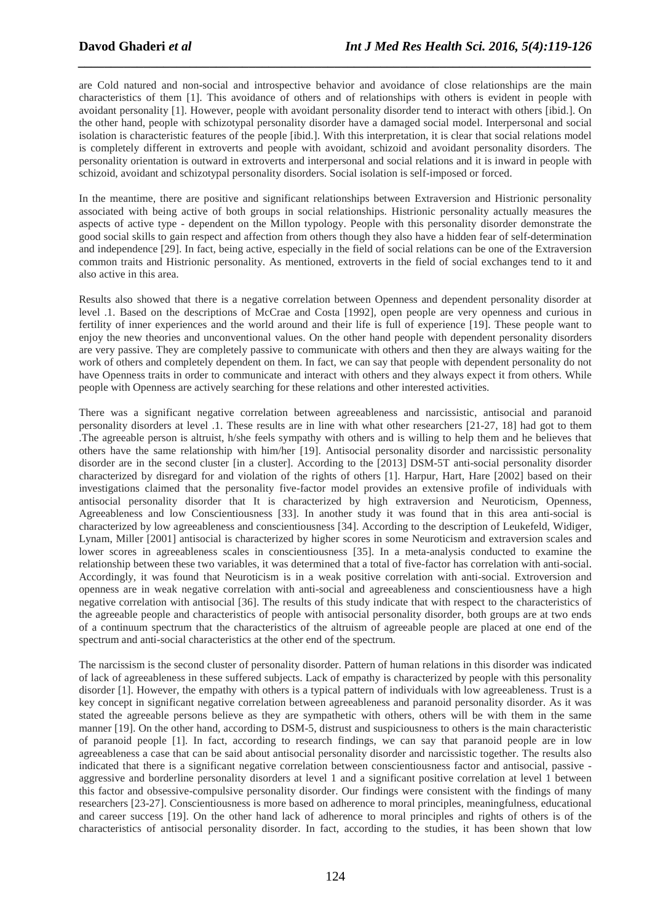are Cold natured and non-social and introspective behavior and avoidance of close relationships are the main characteristics of them [1]. This avoidance of others and of relationships with others is evident in people with avoidant personality [1]. However, people with avoidant personality disorder tend to interact with others [ibid.]. On the other hand, people with schizotypal personality disorder have a damaged social model. Interpersonal and social isolation is characteristic features of the people [ibid.]. With this interpretation, it is clear that social relations model is completely different in extroverts and people with avoidant, schizoid and avoidant personality disorders. The personality orientation is outward in extroverts and interpersonal and social relations and it is inward in people with schizoid, avoidant and schizotypal personality disorders. Social isolation is self-imposed or forced.

*\_\_\_\_\_\_\_\_\_\_\_\_\_\_\_\_\_\_\_\_\_\_\_\_\_\_\_\_\_\_\_\_\_\_\_\_\_\_\_\_\_\_\_\_\_\_\_\_\_\_\_\_\_\_\_\_\_\_\_\_\_\_\_\_\_\_\_\_\_\_\_\_\_\_\_\_\_\_*

In the meantime, there are positive and significant relationships between Extraversion and Histrionic personality associated with being active of both groups in social relationships. Histrionic personality actually measures the aspects of active type - dependent on the Millon typology. People with this personality disorder demonstrate the good social skills to gain respect and affection from others though they also have a hidden fear of self-determination and independence [29]. In fact, being active, especially in the field of social relations can be one of the Extraversion common traits and Histrionic personality. As mentioned, extroverts in the field of social exchanges tend to it and also active in this area.

Results also showed that there is a negative correlation between Openness and dependent personality disorder at level .1. Based on the descriptions of McCrae and Costa [1992], open people are very openness and curious in fertility of inner experiences and the world around and their life is full of experience [19]. These people want to enjoy the new theories and unconventional values. On the other hand people with dependent personality disorders are very passive. They are completely passive to communicate with others and then they are always waiting for the work of others and completely dependent on them. In fact, we can say that people with dependent personality do not have Openness traits in order to communicate and interact with others and they always expect it from others. While people with Openness are actively searching for these relations and other interested activities.

There was a significant negative correlation between agreeableness and narcissistic, antisocial and paranoid personality disorders at level .1. These results are in line with what other researchers [21-27, 18] had got to them .The agreeable person is altruist, h/she feels sympathy with others and is willing to help them and he believes that others have the same relationship with him/her [19]. Antisocial personality disorder and narcissistic personality disorder are in the second cluster [in a cluster]. According to the [2013] DSM-5T anti-social personality disorder characterized by disregard for and violation of the rights of others [1]. Harpur, Hart, Hare [2002] based on their investigations claimed that the personality five-factor model provides an extensive profile of individuals with antisocial personality disorder that It is characterized by high extraversion and Neuroticism, Openness, Agreeableness and low Conscientiousness [33]. In another study it was found that in this area anti-social is characterized by low agreeableness and conscientiousness [34]. According to the description of Leukefeld, Widiger, Lynam, Miller [2001] antisocial is characterized by higher scores in some Neuroticism and extraversion scales and lower scores in agreeableness scales in conscientiousness [35]. In a meta-analysis conducted to examine the relationship between these two variables, it was determined that a total of five-factor has correlation with anti-social. Accordingly, it was found that Neuroticism is in a weak positive correlation with anti-social. Extroversion and openness are in weak negative correlation with anti-social and agreeableness and conscientiousness have a high negative correlation with antisocial [36]. The results of this study indicate that with respect to the characteristics of the agreeable people and characteristics of people with antisocial personality disorder, both groups are at two ends of a continuum spectrum that the characteristics of the altruism of agreeable people are placed at one end of the spectrum and anti-social characteristics at the other end of the spectrum.

The narcissism is the second cluster of personality disorder. Pattern of human relations in this disorder was indicated of lack of agreeableness in these suffered subjects. Lack of empathy is characterized by people with this personality disorder [1]. However, the empathy with others is a typical pattern of individuals with low agreeableness. Trust is a key concept in significant negative correlation between agreeableness and paranoid personality disorder. As it was stated the agreeable persons believe as they are sympathetic with others, others will be with them in the same manner [19]. On the other hand, according to DSM-5, distrust and suspiciousness to others is the main characteristic of paranoid people [1]. In fact, according to research findings, we can say that paranoid people are in low agreeableness a case that can be said about antisocial personality disorder and narcissistic together. The results also indicated that there is a significant negative correlation between conscientiousness factor and antisocial, passive aggressive and borderline personality disorders at level 1 and a significant positive correlation at level 1 between this factor and obsessive-compulsive personality disorder. Our findings were consistent with the findings of many researchers [23-27]. Conscientiousness is more based on adherence to moral principles, meaningfulness, educational and career success [19]. On the other hand lack of adherence to moral principles and rights of others is of the characteristics of antisocial personality disorder. In fact, according to the studies, it has been shown that low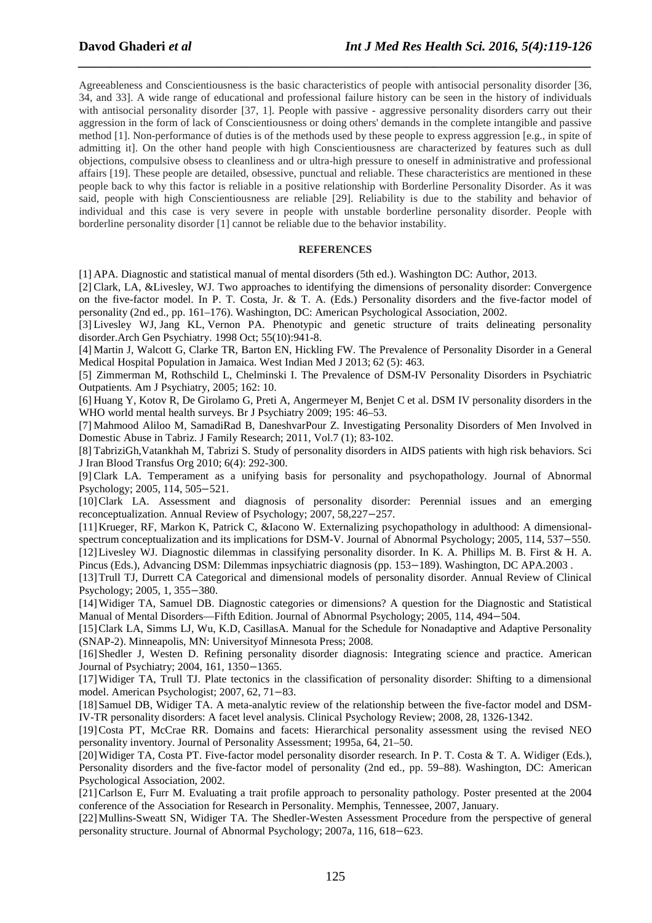Agreeableness and Conscientiousness is the basic characteristics of people with antisocial personality disorder [36, 34, and 33]. A wide range of educational and professional failure history can be seen in the history of individuals with antisocial personality disorder [37, 1]. People with passive - aggressive personality disorders carry out their aggression in the form of lack of Conscientiousness or doing others' demands in the complete intangible and passive method [1]. Non-performance of duties is of the methods used by these people to express aggression [e.g., in spite of admitting it]. On the other hand people with high Conscientiousness are characterized by features such as dull objections, compulsive obsess to cleanliness and or ultra-high pressure to oneself in administrative and professional affairs [19]. These people are detailed, obsessive, punctual and reliable. These characteristics are mentioned in these people back to why this factor is reliable in a positive relationship with Borderline Personality Disorder. As it was said, people with high Conscientiousness are reliable [29]. Reliability is due to the stability and behavior of individual and this case is very severe in people with unstable borderline personality disorder. People with borderline personality disorder [1] cannot be reliable due to the behavior instability.

*\_\_\_\_\_\_\_\_\_\_\_\_\_\_\_\_\_\_\_\_\_\_\_\_\_\_\_\_\_\_\_\_\_\_\_\_\_\_\_\_\_\_\_\_\_\_\_\_\_\_\_\_\_\_\_\_\_\_\_\_\_\_\_\_\_\_\_\_\_\_\_\_\_\_\_\_\_\_*

#### **REFERENCES**

[1] APA. Diagnostic and statistical manual of mental disorders (5th ed.). Washington DC: Author, 2013.

[2] Clark, LA, &Livesley, WJ. Two approaches to identifying the dimensions of personality disorder: Convergence on the five-factor model. In P. T. Costa, Jr. & T. A. (Eds.) Personality disorders and the five-factor model of personality (2nd ed., pp. 161–176). Washington, DC: American Psychological Association, 2002.

[3] Livesley WJ, Jang KL, Vernon PA. Phenotypic and genetic structure of traits delineating personality disorder.Arch Gen Psychiatry. 1998 Oct; 55(10):941-8.

[4] Martin J, Walcott G, Clarke TR, Barton EN, Hickling FW. The Prevalence of Personality Disorder in a General Medical Hospital Population in Jamaica. West Indian Med J 2013; 62 (5): 463.

[5] Zimmerman M, Rothschild L, Chelminski I. The Prevalence of DSM-IV Personality Disorders in Psychiatric Outpatients. Am J Psychiatry, 2005; 162: 10.

[6] Huang Y, Kotov R, De Girolamo G, Preti A, Angermeyer M, Benjet C et al. DSM IV personality disorders in the WHO world mental health surveys. Br J Psychiatry 2009; 195: 46–53.

[7] Mahmood Aliloo M, SamadiRad B, DaneshvarPour Z. Investigating Personality Disorders of Men Involved in Domestic Abuse in Tabriz. J Family Research; 2011, Vol.7 (1); 83-102.

[8] TabriziGh,Vatankhah M, Tabrizi S. Study of personality disorders in AIDS patients with high risk behaviors. Sci J Iran Blood Transfus Org 2010; 6(4): 292-300.

[9] Clark LA. Temperament as a unifying basis for personality and psychopathology. Journal of Abnormal Psychology; 2005, 114, 505−521.

[10]Clark LA. Assessment and diagnosis of personality disorder: Perennial issues and an emerging reconceptualization. Annual Review of Psychology; 2007, 58,227−257.

[11]Krueger, RF, Markon K, Patrick C, &Iacono W. Externalizing psychopathology in adulthood: A dimensionalspectrum conceptualization and its implications for DSM-V. Journal of Abnormal Psychology; 2005, 114, 537–550. [12]Livesley WJ. Diagnostic dilemmas in classifying personality disorder. In K. A. Phillips M. B. First & H. A. Pincus (Eds.), Advancing DSM: Dilemmas inpsychiatric diagnosis (pp. 153−189). Washington, DC APA. 2003 .

[13]Trull TJ, Durrett CA Categorical and dimensional models of personality disorder. Annual Review of Clinical Psychology; 2005, 1, 355−380.

[14]Widiger TA, Samuel DB. Diagnostic categories or dimensions? A question for the Diagnostic and Statistical Manual of Mental Disorders—Fifth Edition. Journal of Abnormal Psychology; 2005, 114, 494−504.

[15]Clark LA, Simms LJ, Wu, K.D, CasillasA. Manual for the Schedule for Nonadaptive and Adaptive Personality (SNAP-2). Minneapolis, MN: Universityof Minnesota Press; 2008.

[16]Shedler J, Westen D. Refining personality disorder diagnosis: Integrating science and practice. American Journal of Psychiatry; 2004, 161, 1350−1365.

[17]Widiger TA, Trull TJ. Plate tectonics in the classification of personality disorder: Shifting to a dimensional model. American Psychologist; 2007, 62, 71−83.

[18]Samuel DB, Widiger TA. A meta-analytic review of the relationship between the five-factor model and DSM-IV-TR personality disorders: A facet level analysis. Clinical Psychology Review; 2008, 28, 1326-1342.

[19]Costa PT, McCrae RR. Domains and facets: Hierarchical personality assessment using the revised NEO personality inventory. Journal of Personality Assessment; 1995a, 64, 21–50.

[20]Widiger TA, Costa PT. Five-factor model personality disorder research. In P. T. Costa & T. A. Widiger (Eds.), Personality disorders and the five-factor model of personality (2nd ed., pp. 59–88). Washington, DC: American Psychological Association, 2002.

[21]Carlson E, Furr M. Evaluating a trait profile approach to personality pathology. Poster presented at the 2004 conference of the Association for Research in Personality. Memphis, Tennessee, 2007, January.

[22]Mullins-Sweatt SN, Widiger TA. The Shedler-Westen Assessment Procedure from the perspective of general personality structure. Journal of Abnormal Psychology; 2007a, 116, 618−623.